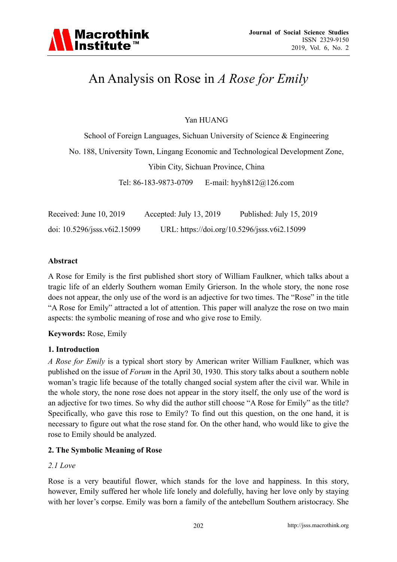

# An Analysis on Rose in *A Rose for Emily*

# Yan HUANG

School of Foreign Languages, Sichuan University of Science & Engineering No. 188, University Town, Lingang Economic and Technological Development Zone, Yibin City, Sichuan Province, China Tel: 86-183-9873-0709 E-mail: hyyh812@126.com

Received: June 10, 2019 Accepted: July 13, 2019 Published: July 15, 2019 doi: 10.5296/jsss.v6i2.15099 URL: https://doi.org/10.5296/jsss.v6i2.15099

#### **Abstract**

A Rose for Emily is the first published short story of William Faulkner, which talks about a tragic life of an elderly Southern woman Emily Grierson. In the whole story, the none rose does not appear, the only use of the word is an adjective for two times. The "Rose" in the title "A Rose for Emily" attracted a lot of attention. This paper will analyze the rose on two main aspects: the symbolic meaning of rose and who give rose to Emily.

#### **Keywords:** Rose, Emily

#### **1. Introduction**

*A Rose for Emily* is a typical short story by American writer William Faulkner, which was published on the issue of *Forum* in the April 30, 1930. This story talks about a southern noble woman's tragic life because of the totally changed social system after the civil war. While in the whole story, the none rose does not appear in the story itself, the only use of the word is an adjective for two times. So why did the author still choose "A Rose for Emily" as the title? Specifically, who gave this rose to Emily? To find out this question, on the one hand, it is necessary to figure out what the rose stand for. On the other hand, who would like to give the rose to Emily should be analyzed.

#### **2. The Symbolic Meaning of Rose**

#### *2.1 Love*

Rose is a very beautiful flower, which stands for the love and happiness. In this story, however, Emily suffered her whole life lonely and dolefully, having her love only by staying with her lover's corpse. Emily was born a family of the antebellum Southern aristocracy. She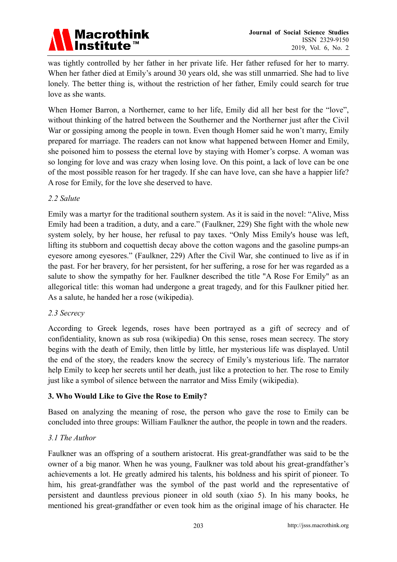

was tightly controlled by her father in her private life. Her father refused for her to marry. When her father died at Emily's around 30 years old, she was still unmarried. She had to live lonely. The better thing is, without the restriction of her father, Emily could search for true love as she wants.

When Homer Barron, a Northerner, came to her life, Emily did all her best for the "love", without thinking of the hatred between the Southerner and the Northerner just after the Civil War or gossiping among the people in town. Even though Homer said he won't marry, Emily prepared for marriage. The readers can not know what happened between Homer and Emily, she poisoned him to possess the eternal love by staying with Homer's corpse. A woman was so longing for love and was crazy when losing love. On this point, a lack of love can be one of the most possible reason for her tragedy. If she can have love, can she have a happier life? A rose for Emily, for the love she deserved to have.

#### *2.2 Salute*

Emily was a martyr for the traditional southern system. As it is said in the novel: "Alive, Miss Emily had been a tradition, a duty, and a care." (Faulkner, 229) She fight with the whole new system solely, by her house, her refusal to pay taxes. "Only Miss Emily's house was left, lifting its stubborn and coquettish decay above the cotton wagons and the gasoline pumps-an eyesore among eyesores." (Faulkner, 229) After the Civil War, she continued to live as if in the past. For her bravery, for her persistent, for her suffering, a rose for her was regarded as a salute to show the sympathy for her. Faulkner described the title "A Rose For Emily" as an allegorical title: this woman had undergone a great tragedy, and for this Faulkner pitied her. As a salute, he handed her a rose (wikipedia).

# *2.3 Secrecy*

According to Greek legends, roses have been portrayed as a gift of secrecy and of confidentiality, known as sub rosa (wikipedia) On this sense, roses mean secrecy. The story begins with the death of Emily, then little by little, her mysterious life was displayed. Until the end of the story, the readers know the secrecy of Emily's mysterious life. The narrator help Emily to keep her secrets until her death, just like a protection to her. The rose to Emily just like a symbol of silence between the narrator and Miss Emily (wikipedia).

# **3. Who Would Like to Give the Rose to Emily?**

Based on analyzing the meaning of rose, the person who gave the rose to Emily can be concluded into three groups: William Faulkner the author, the people in town and the readers.

# *3.1 The Author*

Faulkner was an offspring of a southern aristocrat. His great-grandfather was said to be the owner of a big manor. When he was young, Faulkner was told about his great-grandfather's achievements a lot. He greatly admired his talents, his boldness and his spirit of pioneer. To him, his great-grandfather was the symbol of the past world and the representative of persistent and dauntless previous pioneer in old south (xiao 5). In his many books, he mentioned his great-grandfather or even took him as the original image of his character. He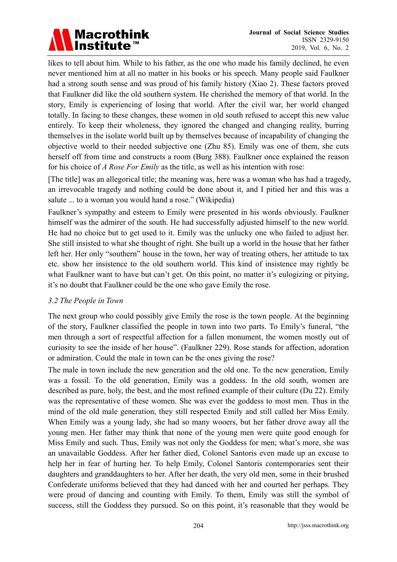# Macrothink<br>Institute™

likes to tell about him. While to his father, as the one who made his family declined, he even never mentioned him at all no matter in his books or his speech. Many people said Faulkner had a strong south sense and was proud of his family history (Xiao 2). These factors proved that Faulkner did like the old southern system. He cherished the memory of that world. In the story, Emily is experiencing of losing that world. After the civil war, her world changed totally. In facing to these changes, these women in old south refused to accept this new value entirely. To keep their wholeness, they ignored the changed and changing reality, burring themselves in the isolate world built up by themselves because of incapability of changing the objective world to their needed subjective one (Zhu 85). Emily was one of them, she cuts herself off from time and constructs a room (Burg 388). Faulkner once explained the reason for his choice of *A Rose For Emily* as the title, as well as his intention with rose:

[The title] was an allegorical title; the meaning was, here was a woman who has had a tragedy, an irrevocable tragedy and nothing could be done about it, and I pitied her and this was a salute ... to a woman you would hand a rose." (Wikipedia)

Faulkner's sympathy and esteem to Emily were presented in his words obviously. Faulkner himself was the admirer of the south. He had successfully adjusted himself to the new world. He had no choice but to get used to it. Emily was the unlucky one who failed to adjust her. She still insisted to what she thought of right. She built up a world in the house that her father left her. Her only "southern" house in the town, her way of treating others, her attitude to tax etc. show her insistence to the old southern world. This kind of insistence may rightly be what Faulkner want to have but can't get. On this point, no matter it's eulogizing or pitying, it's no doubt that Faulkner could be the one who gave Emily the rose.

# *3.2 The People in Town*

The next group who could possibly give Emily the rose is the town people. At the beginning of the story, Faulkner classified the people in town into two parts. To Emily's funeral, "the men through a sort of respectful affection for a fallen monument, the women mostly out of curiosity to see the inside of her house". (Faulkner 229). Rose stands for affection, adoration or admiration. Could the male in town can be the ones giving the rose?

The male in town include the new generation and the old one. To the new generation, Emily was a fossil. To the old generation, Emily was a goddess. In the old south, women are described as pure, holy, the best, and the most refined example of their culture (Du 22). Emily was the representative of these women. She was ever the goddess to most men. Thus in the mind of the old male generation, they still respected Emily and still called her Miss Emily. When Emily was a young lady, she had so many wooers, but her father drove away all the young men. Her father may think that none of the young men were quite good enough for Miss Emily and such. Thus, Emily was not only the Goddess for men; what's more, she was an unavailable Goddess. After her father died, Colonel Santoris even made up an excuse to help her in fear of hurting her. To help Emily, Colonel Santoris contemporaries sent their daughters and granddaughters to her. After her death, the very old men, some in their brushed Confederate uniforms believed that they had danced with her and courted her perhaps. They were proud of dancing and counting with Emily. To them, Emily was still the symbol of success, still the Goddess they pursued. So on this point, it's reasonable that they would be